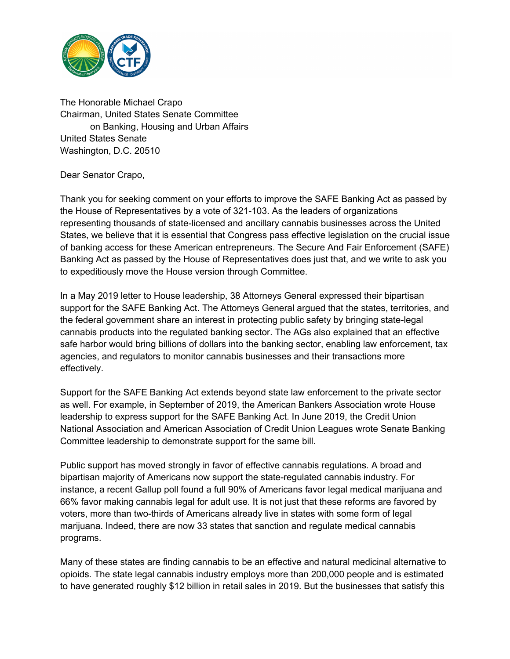

The Honorable Michael Crapo Chairman, United States Senate Committee on Banking, Housing and Urban Affairs United States Senate Washington, D.C. 20510

Dear Senator Crapo,

Thank you for seeking comment on your efforts to improve the SAFE Banking Act as passed by the House of Representatives by a vote of 321-103. As the leaders of organizations representing thousands of state-licensed and ancillary cannabis businesses across the United States, we believe that it is essential that Congress pass effective legislation on the crucial issue of banking access for these American entrepreneurs. The Secure And Fair Enforcement (SAFE) Banking Act as passed by the House of Representatives does just that, and we write to ask you to expeditiously move the House version through Committee.

In a May 2019 letter to House leadership, 38 Attorneys General expressed their bipartisan support for the SAFE Banking Act. The Attorneys General argued that the states, territories, and the federal government share an interest in protecting public safety by bringing state-legal cannabis products into the regulated banking sector. The AGs also explained that an effective safe harbor would bring billions of dollars into the banking sector, enabling law enforcement, tax agencies, and regulators to monitor cannabis businesses and their transactions more effectively.

Support for the SAFE Banking Act extends beyond state law enforcement to the private sector as well. For example, in September of 2019, the American Bankers Association wrote House leadership to express support for the SAFE Banking Act. In June 2019, the Credit Union National Association and American Association of Credit Union Leagues wrote Senate Banking Committee leadership to demonstrate support for the same bill.

Public support has moved strongly in favor of effective cannabis regulations. A broad and bipartisan majority of Americans now support the state-regulated cannabis industry. For instance, a recent Gallup poll found a full 90% of Americans favor legal medical marijuana and 66% favor making cannabis legal for adult use. It is not just that these reforms are favored by voters, more than two-thirds of Americans already live in states with some form of legal marijuana. Indeed, there are now 33 states that sanction and regulate medical cannabis programs.

Many of these states are finding cannabis to be an effective and natural medicinal alternative to opioids. The state legal cannabis industry employs more than 200,000 people and is estimated to have generated roughly \$12 billion in retail sales in 2019. But the businesses that satisfy this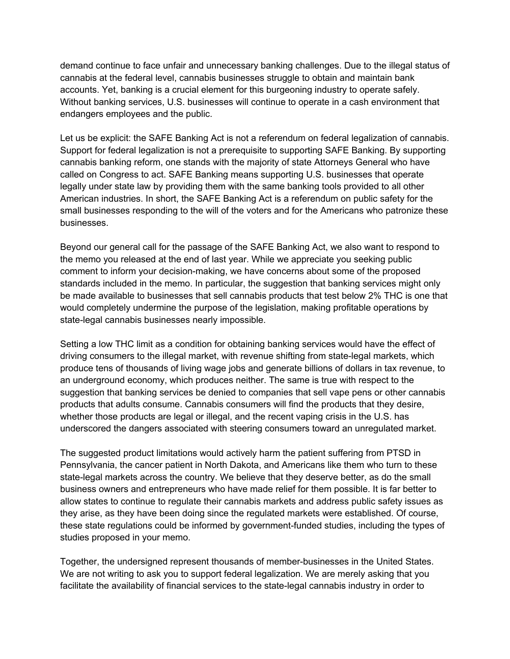demand continue to face unfair and unnecessary banking challenges. Due to the illegal status of cannabis at the federal level, cannabis businesses struggle to obtain and maintain bank accounts. Yet, banking is a crucial element for this burgeoning industry to operate safely. Without banking services, U.S. businesses will continue to operate in a cash environment that endangers employees and the public.

Let us be explicit: the SAFE Banking Act is not a referendum on federal legalization of cannabis. Support for federal legalization is not a prerequisite to supporting SAFE Banking. By supporting cannabis banking reform, one stands with the majority of state Attorneys General who have called on Congress to act. SAFE Banking means supporting U.S. businesses that operate legally under state law by providing them with the same banking tools provided to all other American industries. In short, the SAFE Banking Act is a referendum on public safety for the small businesses responding to the will of the voters and for the Americans who patronize these businesses.

Beyond our general call for the passage of the SAFE Banking Act, we also want to respond to the memo you released at the end of last year. While we appreciate you seeking public comment to inform your decision-making, we have concerns about some of the proposed standards included in the memo. In particular, the suggestion that banking services might only be made available to businesses that sell cannabis products that test below 2% THC is one that would completely undermine the purpose of the legislation, making profitable operations by state-legal cannabis businesses nearly impossible.

Setting a low THC limit as a condition for obtaining banking services would have the effect of driving consumers to the illegal market, with revenue shifting from state-legal markets, which produce tens of thousands of living wage jobs and generate billions of dollars in tax revenue, to an underground economy, which produces neither. The same is true with respect to the suggestion that banking services be denied to companies that sell vape pens or other cannabis products that adults consume. Cannabis consumers will find the products that they desire, whether those products are legal or illegal, and the recent vaping crisis in the U.S. has underscored the dangers associated with steering consumers toward an unregulated market.

The suggested product limitations would actively harm the patient suffering from PTSD in Pennsylvania, the cancer patient in North Dakota, and Americans like them who turn to these state-legal markets across the country. We believe that they deserve better, as do the small business owners and entrepreneurs who have made relief for them possible. It is far better to allow states to continue to regulate their cannabis markets and address public safety issues as they arise, as they have been doing since the regulated markets were established. Of course, these state regulations could be informed by government-funded studies, including the types of studies proposed in your memo.

Together, the undersigned represent thousands of member-businesses in the United States. We are not writing to ask you to support federal legalization. We are merely asking that you facilitate the availability of financial services to the state-legal cannabis industry in order to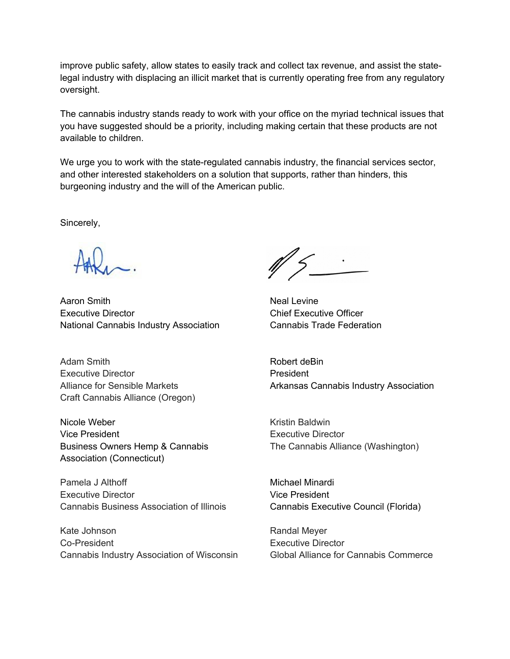improve public safety, allow states to easily track and collect tax revenue, and assist the statelegal industry with displacing an illicit market that is currently operating free from any regulatory oversight.

The cannabis industry stands ready to work with your office on the myriad technical issues that you have suggested should be a priority, including making certain that these products are not available to children.

We urge you to work with the state-regulated cannabis industry, the financial services sector, and other interested stakeholders on a solution that supports, rather than hinders, this burgeoning industry and the will of the American public.

Sincerely,

Aaron Smith Neal Levine Executive Director Chief Executive Officer National Cannabis Industry Association Cannabis Trade Federation

Adam Smith **Robert deBin** Executive Director **President** Alliance for Sensible Markets Arkansas Cannabis Industry Association Craft Cannabis Alliance (Oregon)

Nicole Weber **Kristin Baldwin** Vice President **Executive Director** Business Owners Hemp & Cannabis The Cannabis Alliance (Washington) Association (Connecticut)

Pamela J Althoff Michael Minardi Executive Director Vice President Cannabis Business Association of Illinois Cannabis Executive Council (Florida)

Kate Johnson **Randal Meyer** Randal Meyer Co-President Executive Director Cannabis Industry Association of Wisconsin Global Alliance for Cannabis Commerce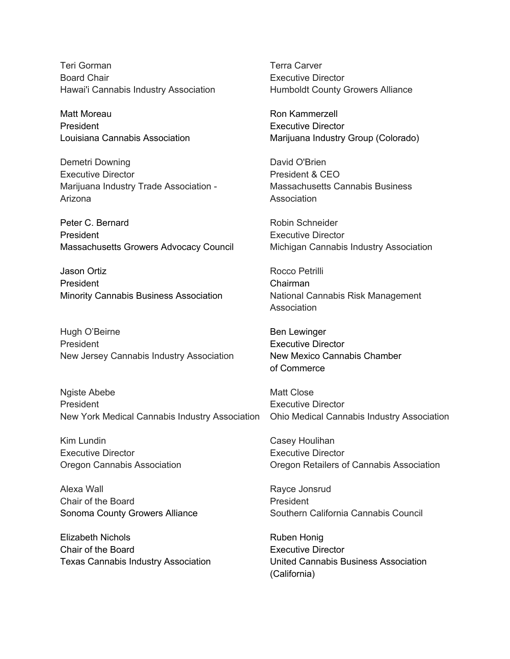Teri Gorman Terra Carver Board Chair **Executive Director Executive Director** Hawai'i Cannabis Industry Association **Humboldt County Growers Alliance** 

Matt Moreau **Matt Moreau** Ron Kammerzell President **Executive Director Executive Director** 

Demetri Downing **David O'Brien** Executive Director **President & CEO** Marijuana Industry Trade Association - Massachusetts Cannabis Business Arizona **Arizona** Association

Peter C. Bernard **Robin Schneider** Robin Schneider President **Executive Director** Massachusetts Growers Advocacy Council Michigan Cannabis Industry Association

Jason Ortiz **Markov Elizabeth Contract Contract Process** Rocco Petrilli President Chairman Minority Cannabis Business Association National Cannabis Risk Management

Hugh O'Beirne **Ben Lewinger** Ben Lewinger President **Executive Director** New Jersey Cannabis Industry Association New Mexico Cannabis Chamber

Ngiste Abebe Matt Close President **Executive Director Executive Director** New York Medical Cannabis Industry Association Ohio Medical Cannabis Industry Association

Kim Lundin **Casey Houlihan** Executive Director Executive Director

Alexa Wall **Alexa** Wall **Rayce Jonsrud** Chair of the Board **President** 

Elizabeth Nichols **Ruben Honig** Ruben Honig Chair of the Board **Executive Director** 

Louisiana Cannabis Association Marijuana Industry Group (Colorado)

**Association** 

of Commerce

Oregon Cannabis Association Oregon Retailers of Cannabis Association

Sonoma County Growers Alliance Southern California Cannabis Council

Texas Cannabis Industry Association United Cannabis Business Association (California)